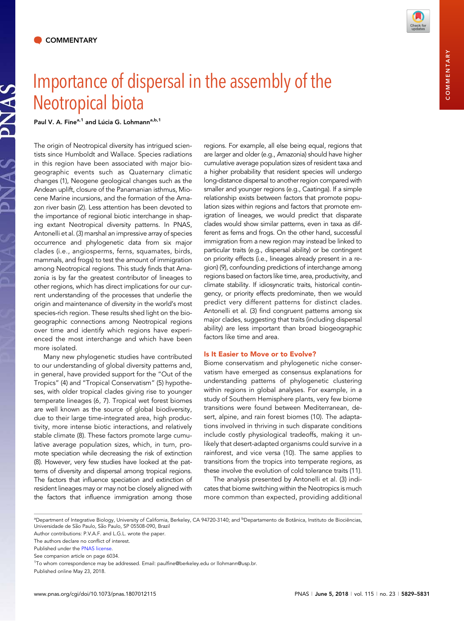NAS



Paul V. A. Fine<sup>a,1</sup> and Lúcia G. Lohmann<sup>a,b,1</sup>

The origin of Neotropical diversity has intrigued scientists since Humboldt and Wallace. Species radiations in this region have been associated with major biogeographic events such as Quaternary climatic changes (1), Neogene geological changes such as the Andean uplift, closure of the Panamanian isthmus, Miocene Marine incursions, and the formation of the Amazon river basin (2). Less attention has been devoted to the importance of regional biotic interchange in shaping extant Neotropical diversity patterns. In PNAS, Antonelli et al. (3) marshal an impressive array of species occurrence and phylogenetic data from six major clades (i.e., angiosperms, ferns, squamates, birds, mammals, and frogs) to test the amount of immigration among Neotropical regions. This study finds that Amazonia is by far the greatest contributor of lineages to other regions, which has direct implications for our current understanding of the processes that underlie the origin and maintenance of diversity in the world's most species-rich region. These results shed light on the biogeographic connections among Neotropical regions over time and identify which regions have experienced the most interchange and which have been more isolated.

Many new phylogenetic studies have contributed to our understanding of global diversity patterns and, in general, have provided support for the "Out of the Tropics" (4) and "Tropical Conservatism" (5) hypotheses, with older tropical clades giving rise to younger temperate lineages (6, 7). Tropical wet forest biomes are well known as the source of global biodiversity, due to their large time-integrated area, high productivity, more intense biotic interactions, and relatively stable climate (8). These factors promote large cumulative average population sizes, which, in turn, promote speciation while decreasing the risk of extinction (8). However, very few studies have looked at the patterns of diversity and dispersal among tropical regions. The factors that influence speciation and extinction of resident lineages may or may not be closely aligned with the factors that influence immigration among those regions. For example, all else being equal, regions that are larger and older (e.g., Amazonia) should have higher cumulative average population sizes of resident taxa and a higher probability that resident species will undergo long-distance dispersal to another region compared with smaller and younger regions (e.g., Caatinga). If a simple relationship exists between factors that promote population sizes within regions and factors that promote emigration of lineages, we would predict that disparate clades would show similar patterns, even in taxa as different as ferns and frogs. On the other hand, successful immigration from a new region may instead be linked to particular traits (e.g., dispersal ability) or be contingent on priority effects (i.e., lineages already present in a region) (9), confounding predictions of interchange among regions based on factors like time, area, productivity, and climate stability. If idiosyncratic traits, historical contingency, or priority effects predominate, then we would predict very different patterns for distinct clades. Antonelli et al. (3) find congruent patterns among six major clades, suggesting that traits (including dispersal ability) are less important than broad biogeographic factors like time and area.

### Is It Easier to Move or to Evolve?

Biome conservatism and phylogenetic niche conservatism have emerged as consensus explanations for understanding patterns of phylogenetic clustering within regions in global analyses. For example, in a study of Southern Hemisphere plants, very few biome transitions were found between Mediterranean, desert, alpine, and rain forest biomes (10). The adaptations involved in thriving in such disparate conditions include costly physiological tradeoffs, making it unlikely that desert-adapted organisms could survive in a rainforest, and vice versa (10). The same applies to transitions from the tropics into temperate regions, as these involve the evolution of cold tolerance traits (11).

The analysis presented by Antonelli et al. (3) indicates that biome switching within the Neotropics is much more common than expected, providing additional

COMMENTARYCOMMENTARY

<sup>&</sup>lt;sup>a</sup>Department of Integrative Biology, University of California, Berkeley, CA 94720-3140; and <sup>b</sup>Departamento de Botânica, Instituto de Biociências, Universidade de São Paulo, São Paulo, SP 05508-090, Brazil

Author contributions: P.V.A.F. and L.G.L. wrote the paper.

The authors declare no conflict of interest.

Published under the [PNAS license.](http://www.pnas.org/site/aboutpnas/licenses.xhtml)

See companion article on page 6034.

<sup>&</sup>lt;sup>1</sup>To whom correspondence may be addressed. Email: [paulfine@berkeley.edu](mailto:paulfine@berkeley.edu) or [llohmann@usp.br.](mailto:llohmann@usp.br)

Published online May 23, 2018.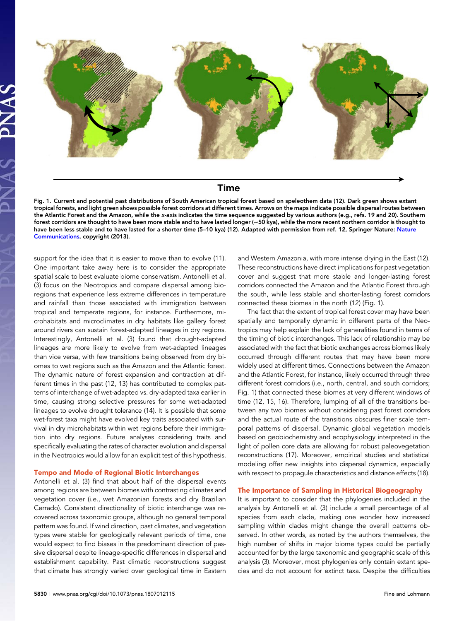

# **Time**

Fig. 1. Current and potential past distributions of South American tropical forest based on speleothem data (12). Dark green shows extant tropical forests, and light green shows possible forest corridors at different times. Arrows on the maps indicate possible dispersal routes between the Atlantic Forest and the Amazon, while the x-axis indicates the time sequence suggested by various authors (e.g., refs. 19 and 20). Southern forest corridors are thought to have been more stable and to have lasted longer (∼50 kya), while the more recent northern corridor is thought to have been less stable and to have lasted for a shorter time (5-10 kya) (12). Adapted with permission from ref. 12, Springer [Nature](https://www.nature.com/ncomms/): Nature [Communications](https://www.nature.com/ncomms/), copyright (2013).

support for the idea that it is easier to move than to evolve (11). One important take away here is to consider the appropriate spatial scale to best evaluate biome conservatism. Antonelli et al. (3) focus on the Neotropics and compare dispersal among bioregions that experience less extreme differences in temperature and rainfall than those associated with immigration between tropical and temperate regions, for instance. Furthermore, microhabitats and microclimates in dry habitats like gallery forest around rivers can sustain forest-adapted lineages in dry regions. Interestingly, Antonelli et al. (3) found that drought-adapted lineages are more likely to evolve from wet-adapted lineages than vice versa, with few transitions being observed from dry biomes to wet regions such as the Amazon and the Atlantic forest. The dynamic nature of forest expansion and contraction at different times in the past (12, 13) has contributed to complex patterns of interchange of wet-adapted vs. dry-adapted taxa earlier in time, causing strong selective pressures for some wet-adapted lineages to evolve drought tolerance (14). It is possible that some wet-forest taxa might have evolved key traits associated with survival in dry microhabitats within wet regions before their immigration into dry regions. Future analyses considering traits and specifically evaluating the rates of character evolution and dispersal in the Neotropics would allow for an explicit test of this hypothesis.

## Tempo and Mode of Regional Biotic Interchanges

Antonelli et al. (3) find that about half of the dispersal events among regions are between biomes with contrasting climates and vegetation cover (i.e., wet Amazonian forests and dry Brazilian Cerrado). Consistent directionality of biotic interchange was recovered across taxonomic groups, although no general temporal pattern was found. If wind direction, past climates, and vegetation types were stable for geologically relevant periods of time, one would expect to find biases in the predominant direction of passive dispersal despite lineage-specific differences in dispersal and establishment capability. Past climatic reconstructions suggest that climate has strongly varied over geological time in Eastern and Western Amazonia, with more intense drying in the East (12). These reconstructions have direct implications for past vegetation cover and suggest that more stable and longer-lasting forest corridors connected the Amazon and the Atlantic Forest through the south, while less stable and shorter-lasting forest corridors connected these biomes in the north (12) (Fig. 1).

The fact that the extent of tropical forest cover may have been spatially and temporally dynamic in different parts of the Neotropics may help explain the lack of generalities found in terms of the timing of biotic interchanges. This lack of relationship may be associated with the fact that biotic exchanges across biomes likely occurred through different routes that may have been more widely used at different times. Connections between the Amazon and the Atlantic Forest, for instance, likely occurred through three different forest corridors (i.e., north, central, and south corridors; Fig. 1) that connected these biomes at very different windows of time (12, 15, 16). Therefore, lumping of all of the transitions between any two biomes without considering past forest corridors and the actual route of the transitions obscures finer scale temporal patterns of dispersal. Dynamic global vegetation models based on geobiochemistry and ecophysiology interpreted in the light of pollen core data are allowing for robust paleovegetation reconstructions (17). Moreover, empirical studies and statistical modeling offer new insights into dispersal dynamics, especially with respect to propagule characteristics and distance effects (18).

### The Importance of Sampling in Historical Biogeography

It is important to consider that the phylogenies included in the analysis by Antonelli et al. (3) include a small percentage of all species from each clade, making one wonder how increased sampling within clades might change the overall patterns observed. In other words, as noted by the authors themselves, the high number of shifts in major biome types could be partially accounted for by the large taxonomic and geographic scale of this analysis (3). Moreover, most phylogenies only contain extant species and do not account for extinct taxa. Despite the difficulties